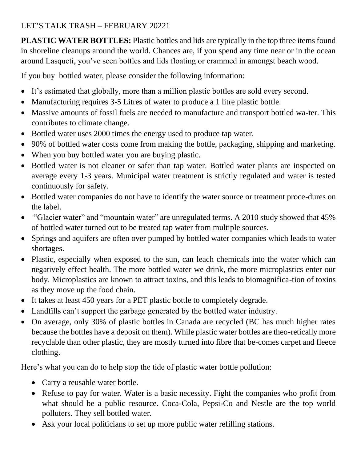## LET'S TALK TRASH – FEBRUARY 20221

**PLASTIC WATER BOTTLES:** Plastic bottles and lids are typically in the top three items found in shoreline cleanups around the world. Chances are, if you spend any time near or in the ocean around Lasqueti, you've seen bottles and lids floating or crammed in amongst beach wood.

If you buy bottled water, please consider the following information:

- It's estimated that globally, more than a million plastic bottles are sold every second.
- Manufacturing requires 3-5 Litres of water to produce a 1 litre plastic bottle.
- Massive amounts of fossil fuels are needed to manufacture and transport bottled wa-ter. This contributes to climate change.
- Bottled water uses 2000 times the energy used to produce tap water.
- 90% of bottled water costs come from making the bottle, packaging, shipping and marketing.
- When you buy bottled water you are buying plastic.
- Bottled water is not cleaner or safer than tap water. Bottled water plants are inspected on average every 1-3 years. Municipal water treatment is strictly regulated and water is tested continuously for safety.
- Bottled water companies do not have to identify the water source or treatment proce-dures on the label.
- "Glacier water" and "mountain water" are unregulated terms. A 2010 study showed that 45% of bottled water turned out to be treated tap water from multiple sources.
- Springs and aquifers are often over pumped by bottled water companies which leads to water shortages.
- Plastic, especially when exposed to the sun, can leach chemicals into the water which can negatively effect health. The more bottled water we drink, the more microplastics enter our body. Microplastics are known to attract toxins, and this leads to biomagnifica-tion of toxins as they move up the food chain.
- It takes at least 450 years for a PET plastic bottle to completely degrade.
- Landfills can't support the garbage generated by the bottled water industry.
- On average, only 30% of plastic bottles in Canada are recycled (BC has much higher rates because the bottles have a deposit on them). While plastic water bottles are theo-retically more recyclable than other plastic, they are mostly turned into fibre that be-comes carpet and fleece clothing.

Here's what you can do to help stop the tide of plastic water bottle pollution:

- Carry a reusable water bottle.
- Refuse to pay for water. Water is a basic necessity. Fight the companies who profit from what should be a public resource. Coca-Cola, Pepsi-Co and Nestle are the top world polluters. They sell bottled water.
- Ask your local politicians to set up more public water refilling stations.